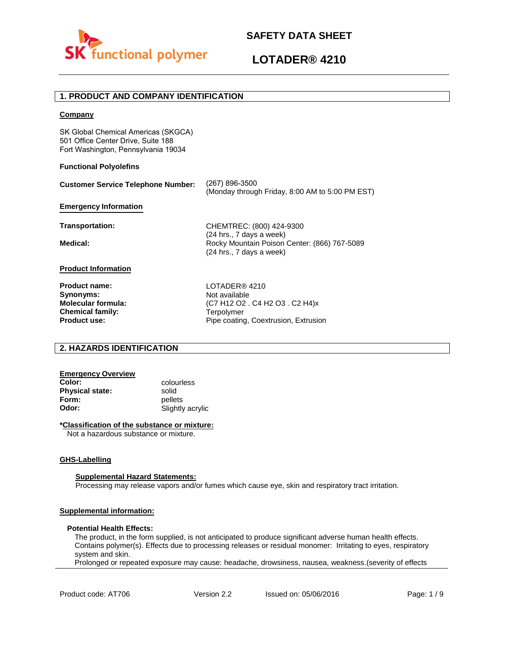



### **1. PRODUCT AND COMPANY IDENTIFICATION**

#### **Company**

SK Global Chemical Americas (SKGCA) 501 Office Center Drive, Suite 188 Fort Washington, Pennsylvania 19034

#### **Functional Polyolefins**

| <b>Customer Service Telephone Number:</b> | (267) 896-3500<br>(Monday through Friday, 8:00 AM to 5:00 PM EST)        |  |
|-------------------------------------------|--------------------------------------------------------------------------|--|
| <b>Emergency Information</b>              |                                                                          |  |
| Transportation:                           | CHEMTREC: (800) 424-9300<br>(24 hrs., 7 days a week)                     |  |
| Medical:                                  | Rocky Mountain Poison Center: (866) 767-5089<br>(24 hrs., 7 days a week) |  |
| <b>Product Information</b>                |                                                                          |  |
| <b>Product name:</b>                      | LOTADER® 4210                                                            |  |
| Synonyms:                                 | Not available                                                            |  |
| <b>Molecular formula:</b>                 | (C7 H12 O2 . C4 H2 O3 . C2 H4)x                                          |  |
| <b>Chemical family:</b>                   | Terpolymer                                                               |  |
| <b>Product use:</b>                       | Pipe coating, Coextrusion, Extrusion                                     |  |

### **2. HAZARDS IDENTIFICATION**

# **Emergency Overview**

**Physical state:** solid<br> **Form:** nellet **Form:** pellets<br> **Odor:** Slightly

**Color:** colourless **Odor:** Slightly acrylic

#### **\*Classification of the substance or mixture:**

Not a hazardous substance or mixture.

#### **GHS-Labelling**

#### **Supplemental Hazard Statements:**

Processing may release vapors and/or fumes which cause eye, skin and respiratory tract irritation.

#### **Supplemental information:**

#### **Potential Health Effects:**

The product, in the form supplied, is not anticipated to produce significant adverse human health effects. Contains polymer(s). Effects due to processing releases or residual monomer: Irritating to eyes, respiratory system and skin.

Prolonged or repeated exposure may cause: headache, drowsiness, nausea, weakness.(severity of effects

Product code: AT706 Version 2.2 Issued on: 05/06/2016 Page: 1/9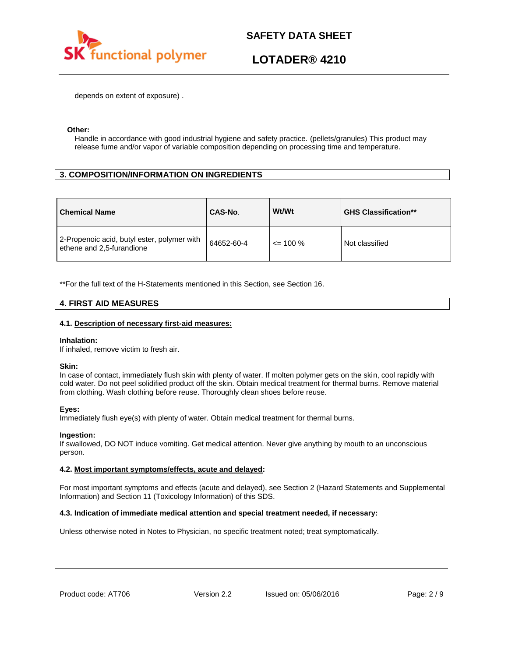

depends on extent of exposure) .

#### **Other:**

Handle in accordance with good industrial hygiene and safety practice. (pellets/granules) This product may release fume and/or vapor of variable composition depending on processing time and temperature.

## **3. COMPOSITION/INFORMATION ON INGREDIENTS**

| <b>Chemical Name</b>                                                     | CAS-No.    | Wt/Wt        | <b>GHS Classification**</b> |
|--------------------------------------------------------------------------|------------|--------------|-----------------------------|
| 2-Propenoic acid, butyl ester, polymer with<br>ethene and 2,5-furandione | 64652-60-4 | $\leq$ 100 % | Not classified              |

\*\*For the full text of the H-Statements mentioned in this Section, see Section 16.

### **4. FIRST AID MEASURES**

#### **4.1. Description of necessary first-aid measures:**

#### **Inhalation:**

If inhaled, remove victim to fresh air.

#### **Skin:**

In case of contact, immediately flush skin with plenty of water. If molten polymer gets on the skin, cool rapidly with cold water. Do not peel solidified product off the skin. Obtain medical treatment for thermal burns. Remove material from clothing. Wash clothing before reuse. Thoroughly clean shoes before reuse.

#### **Eyes:**

Immediately flush eye(s) with plenty of water. Obtain medical treatment for thermal burns.

#### **Ingestion:**

If swallowed, DO NOT induce vomiting. Get medical attention. Never give anything by mouth to an unconscious person.

#### **4.2. Most important symptoms/effects, acute and delayed:**

For most important symptoms and effects (acute and delayed), see Section 2 (Hazard Statements and Supplemental Information) and Section 11 (Toxicology Information) of this SDS.

#### **4.3. Indication of immediate medical attention and special treatment needed, if necessary:**

Unless otherwise noted in Notes to Physician, no specific treatment noted; treat symptomatically.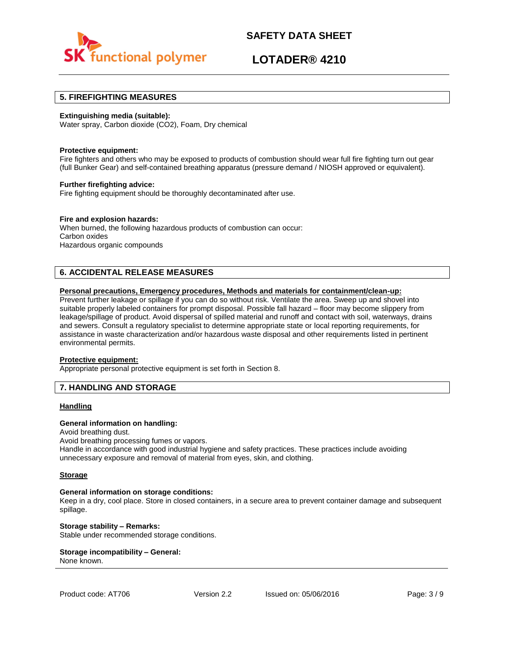

## **LOTADER® 4210**

### **5. FIREFIGHTING MEASURES**

#### **Extinguishing media (suitable):**

Water spray, Carbon dioxide (CO2), Foam, Dry chemical

#### **Protective equipment:**

Fire fighters and others who may be exposed to products of combustion should wear full fire fighting turn out gear (full Bunker Gear) and self-contained breathing apparatus (pressure demand / NIOSH approved or equivalent).

#### **Further firefighting advice:**

Fire fighting equipment should be thoroughly decontaminated after use.

#### **Fire and explosion hazards:**

When burned, the following hazardous products of combustion can occur: Carbon oxides Hazardous organic compounds

### **6. ACCIDENTAL RELEASE MEASURES**

#### **Personal precautions, Emergency procedures, Methods and materials for containment/clean-up:**

Prevent further leakage or spillage if you can do so without risk. Ventilate the area. Sweep up and shovel into suitable properly labeled containers for prompt disposal. Possible fall hazard – floor may become slippery from leakage/spillage of product. Avoid dispersal of spilled material and runoff and contact with soil, waterways, drains and sewers. Consult a regulatory specialist to determine appropriate state or local reporting requirements, for assistance in waste characterization and/or hazardous waste disposal and other requirements listed in pertinent environmental permits.

#### **Protective equipment:**

Appropriate personal protective equipment is set forth in Section 8.

### **7. HANDLING AND STORAGE**

#### **Handling**

#### **General information on handling:**

Avoid breathing dust.

Avoid breathing processing fumes or vapors.

Handle in accordance with good industrial hygiene and safety practices. These practices include avoiding unnecessary exposure and removal of material from eyes, skin, and clothing.

#### **Storage**

#### **General information on storage conditions:**

Keep in a dry, cool place. Store in closed containers, in a secure area to prevent container damage and subsequent spillage.

**Storage stability – Remarks:**  Stable under recommended storage conditions.

#### **Storage incompatibility – General:**  None known.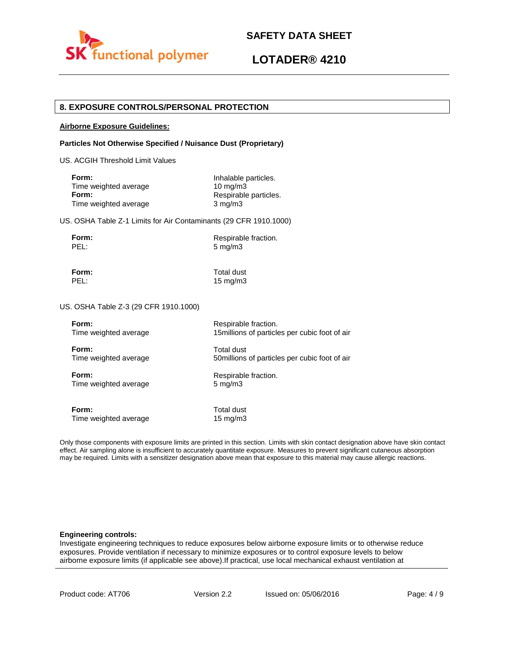

### **8. EXPOSURE CONTROLS/PERSONAL PROTECTION**

#### **Airborne Exposure Guidelines:**

#### **Particles Not Otherwise Specified / Nuisance Dust (Proprietary)**

US. ACGIH Threshold Limit Values

| Inhalable particles.  |
|-----------------------|
| $10 \text{ ma/m}$ 3   |
| Respirable particles. |
| $3 \text{ mg/m}$      |
|                       |

US. OSHA Table Z-1 Limits for Air Contaminants (29 CFR 1910.1000)

| п<br>г<br>۰, |  |
|--------------|--|
|              |  |

**Form:** Respirable fraction. 5 mg/m3

**Form:** Total dust

PEL: 15 mg/m3

US. OSHA Table Z-3 (29 CFR 1910.1000)

| Form:                 | Respirable fraction.                           |
|-----------------------|------------------------------------------------|
| Time weighted average | 15 millions of particles per cubic foot of air |
| Form:                 | Total dust                                     |
| Time weighted average | 50 millions of particles per cubic foot of air |
| Form:                 | Respirable fraction.                           |
| Time weighted average | $5 \text{ mg/m}$                               |
| Form:                 | Total dust                                     |
| Time weighted average | $15 \text{ mg/m}$                              |

Only those components with exposure limits are printed in this section. Limits with skin contact designation above have skin contact effect. Air sampling alone is insufficient to accurately quantitate exposure. Measures to prevent significant cutaneous absorption may be required. Limits with a sensitizer designation above mean that exposure to this material may cause allergic reactions.

#### **Engineering controls:**

Investigate engineering techniques to reduce exposures below airborne exposure limits or to otherwise reduce exposures. Provide ventilation if necessary to minimize exposures or to control exposure levels to below airborne exposure limits (if applicable see above).If practical, use local mechanical exhaust ventilation at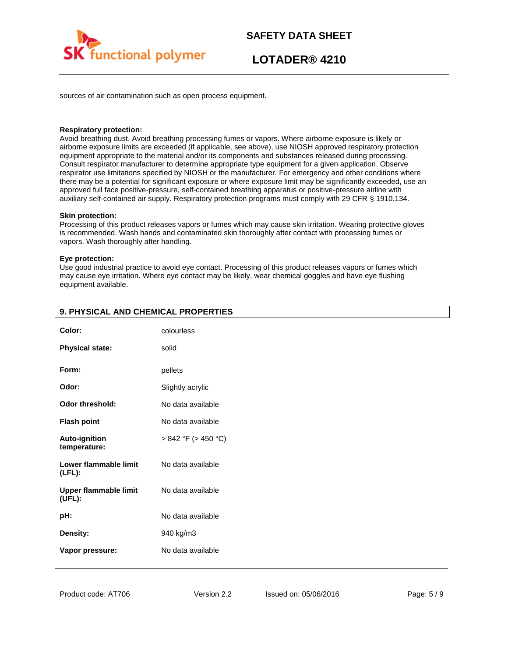

sources of air contamination such as open process equipment.

#### **Respiratory protection:**

Avoid breathing dust. Avoid breathing processing fumes or vapors. Where airborne exposure is likely or airborne exposure limits are exceeded (if applicable, see above), use NIOSH approved respiratory protection equipment appropriate to the material and/or its components and substances released during processing. Consult respirator manufacturer to determine appropriate type equipment for a given application. Observe respirator use limitations specified by NIOSH or the manufacturer. For emergency and other conditions where there may be a potential for significant exposure or where exposure limit may be significantly exceeded, use an approved full face positive-pressure, self-contained breathing apparatus or positive-pressure airline with auxiliary self-contained air supply. Respiratory protection programs must comply with 29 CFR § 1910.134.

#### **Skin protection:**

Processing of this product releases vapors or fumes which may cause skin irritation. Wearing protective gloves is recommended. Wash hands and contaminated skin thoroughly after contact with processing fumes or vapors. Wash thoroughly after handling.

#### **Eye protection:**

Use good industrial practice to avoid eye contact. Processing of this product releases vapors or fumes which may cause eye irritation. Where eye contact may be likely, wear chemical goggles and have eye flushing equipment available.

| Color:                                 | colourless               |
|----------------------------------------|--------------------------|
| <b>Physical state:</b>                 | solid                    |
| Form:                                  | pellets                  |
| Odor:                                  | Slightly acrylic         |
| <b>Odor threshold:</b>                 | No data available        |
| <b>Flash point</b>                     | No data available        |
| <b>Auto-ignition</b><br>temperature:   | $> 842$ °F ( $> 450$ °C) |
| Lower flammable limit<br>$(LFL)$ :     | No data available        |
| <b>Upper flammable limit</b><br>(UEL): | No data available        |
| pH:                                    | No data available        |
| Density:                               | 940 kg/m3                |
| Vapor pressure:                        | No data available        |

## **9. PHYSICAL AND CHEMICAL PROPERTIES**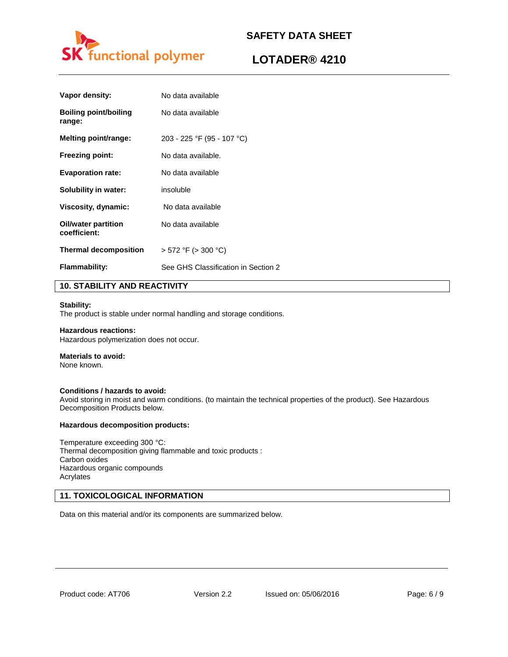

## **LOTADER® 4210**

| Vapor density:                         | No data available                   |
|----------------------------------------|-------------------------------------|
| <b>Boiling point/boiling</b><br>range: | No data available                   |
| Melting point/range:                   | 203 - 225 °F (95 - 107 °C)          |
| <b>Freezing point:</b>                 | No data available.                  |
| <b>Evaporation rate:</b>               | No data available                   |
| Solubility in water:                   | insoluble                           |
| Viscosity, dynamic:                    | No data available                   |
| Oil/water partition<br>coefficient:    | No data available                   |
| <b>Thermal decomposition</b>           | $>$ 572 °F ( $>$ 300 °C)            |
| <b>Flammability:</b>                   | See GHS Classification in Section 2 |
|                                        |                                     |

## **10. STABILITY AND REACTIVITY**

#### **Stability:**

The product is stable under normal handling and storage conditions.

#### **Hazardous reactions:**

Hazardous polymerization does not occur.

## **Materials to avoid:**

None known.

#### **Conditions / hazards to avoid:**

Avoid storing in moist and warm conditions. (to maintain the technical properties of the product). See Hazardous Decomposition Products below.

#### **Hazardous decomposition products:**

Temperature exceeding 300 °C: Thermal decomposition giving flammable and toxic products : Carbon oxides Hazardous organic compounds Acrylates

### **11. TOXICOLOGICAL INFORMATION**

Data on this material and/or its components are summarized below.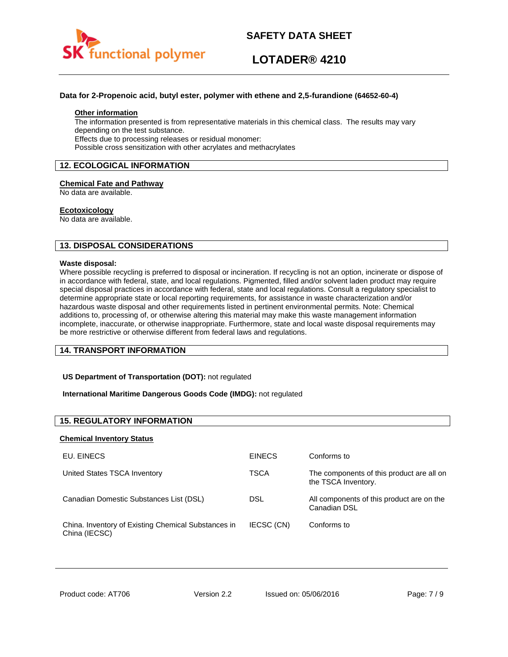

## **LOTADER® 4210**

#### **Data for 2-Propenoic acid, butyl ester, polymer with ethene and 2,5-furandione (64652-60-4)**

#### **Other information**

The information presented is from representative materials in this chemical class. The results may vary depending on the test substance. Effects due to processing releases or residual monomer: Possible cross sensitization with other acrylates and methacrylates

### **12. ECOLOGICAL INFORMATION**

#### **Chemical Fate and Pathway**

No data are available.

#### **Ecotoxicology**

No data are available.

### **13. DISPOSAL CONSIDERATIONS**

#### **Waste disposal:**

Where possible recycling is preferred to disposal or incineration. If recycling is not an option, incinerate or dispose of in accordance with federal, state, and local regulations. Pigmented, filled and/or solvent laden product may require special disposal practices in accordance with federal, state and local regulations. Consult a regulatory specialist to determine appropriate state or local reporting requirements, for assistance in waste characterization and/or hazardous waste disposal and other requirements listed in pertinent environmental permits. Note: Chemical additions to, processing of, or otherwise altering this material may make this waste management information incomplete, inaccurate, or otherwise inappropriate. Furthermore, state and local waste disposal requirements may be more restrictive or otherwise different from federal laws and regulations.

### **14. TRANSPORT INFORMATION**

#### **US Department of Transportation (DOT):** not regulated

#### **International Maritime Dangerous Goods Code (IMDG):** not regulated

### **15. REGULATORY INFORMATION**

#### **Chemical Inventory Status**

| EU. EINECS                                                           | <b>EINECS</b> | Conforms to                                                      |
|----------------------------------------------------------------------|---------------|------------------------------------------------------------------|
| United States TSCA Inventory                                         | TSCA          | The components of this product are all on<br>the TSCA Inventory. |
| Canadian Domestic Substances List (DSL)                              | DSL           | All components of this product are on the<br>Canadian DSL        |
| China. Inventory of Existing Chemical Substances in<br>China (IECSC) | IECSC (CN)    | Conforms to                                                      |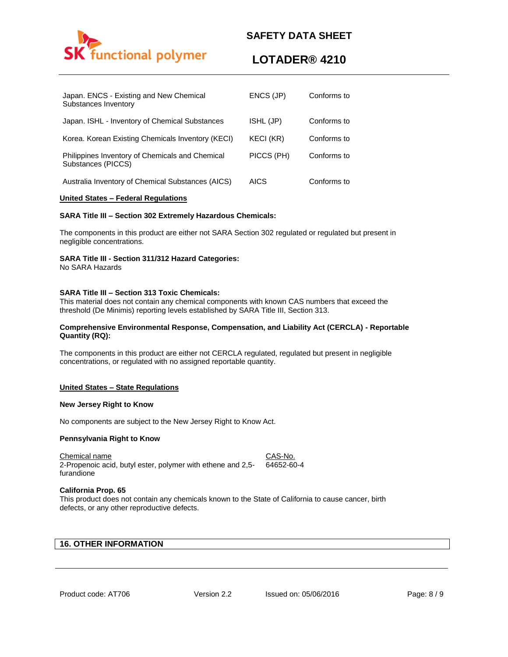

## **LOTADER® 4210**

| Japan. ENCS - Existing and New Chemical<br>Substances Inventory       | ENCS (JP)   | Conforms to |
|-----------------------------------------------------------------------|-------------|-------------|
| Japan. ISHL - Inventory of Chemical Substances                        | ISHL (JP)   | Conforms to |
| Korea. Korean Existing Chemicals Inventory (KECI)                     | KECI (KR)   | Conforms to |
| Philippines Inventory of Chemicals and Chemical<br>Substances (PICCS) | PICCS (PH)  | Conforms to |
| Australia Inventory of Chemical Substances (AICS)                     | <b>AICS</b> | Conforms to |

#### **United States – Federal Regulations**

#### **SARA Title III – Section 302 Extremely Hazardous Chemicals:**

The components in this product are either not SARA Section 302 regulated or regulated but present in negligible concentrations.

### **SARA Title III - Section 311/312 Hazard Categories:**

No SARA Hazards

### **SARA Title III – Section 313 Toxic Chemicals:**

This material does not contain any chemical components with known CAS numbers that exceed the threshold (De Minimis) reporting levels established by SARA Title III, Section 313.

#### **Comprehensive Environmental Response, Compensation, and Liability Act (CERCLA) - Reportable Quantity (RQ):**

The components in this product are either not CERCLA regulated, regulated but present in negligible concentrations, or regulated with no assigned reportable quantity.

#### **United States – State Regulations**

#### **New Jersey Right to Know**

No components are subject to the New Jersey Right to Know Act.

#### **Pennsylvania Right to Know**

Chemical name CAS-No. 2-Propenoic acid, butyl ester, polymer with ethene and 2,5 furandione 64652-60-4

#### **California Prop. 65**

This product does not contain any chemicals known to the State of California to cause cancer, birth defects, or any other reproductive defects.

## **16. OTHER INFORMATION**